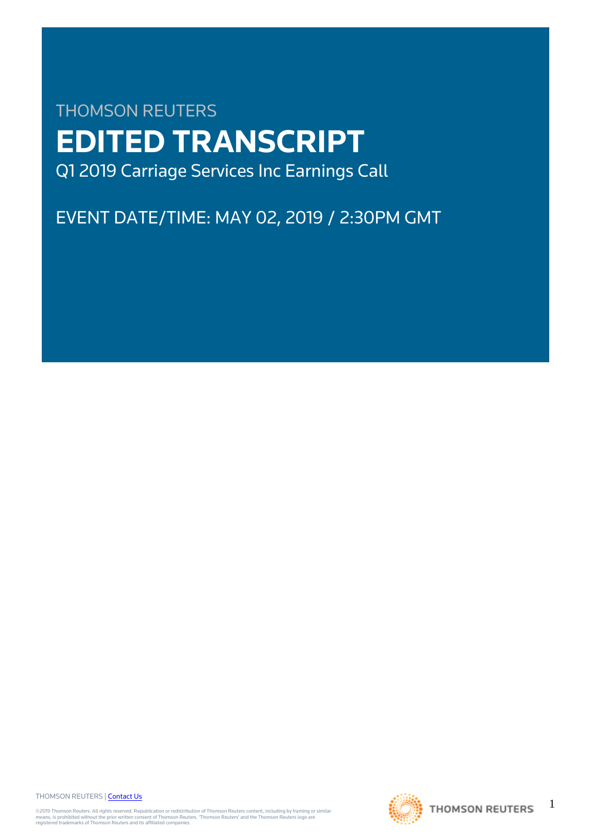# THOMSON REUTERS **EDITED TRANSCRIPT** Q1 2019 Carriage Services Inc Earnings Call

EVENT DATE/TIME: MAY 02, 2019 / 2:30PM GMT

THOMSON REUTERS | [Contact Us](https://my.thomsonreuters.com/ContactUsNew)

©2019 Thomson Reuters. All rights reserved. Republication or redistribution of Thomson Reuters content, including by framing or similar<br>means, is prohibited without the prior written consent of Thomson Reuters. "Thomson Re



1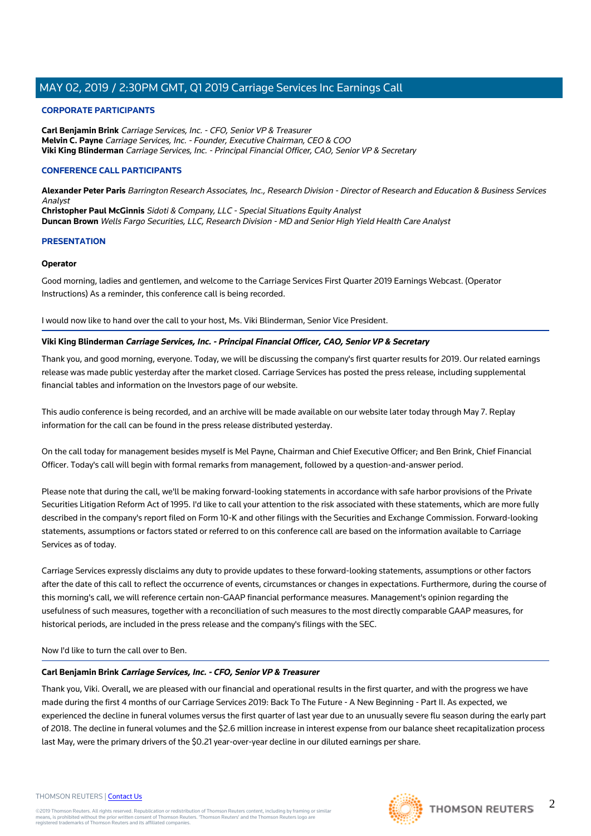# **CORPORATE PARTICIPANTS**

**Carl Benjamin Brink** Carriage Services, Inc. - CFO, Senior VP & Treasurer **Melvin C. Payne** Carriage Services, Inc. - Founder, Executive Chairman, CEO & COO **Viki King Blinderman** Carriage Services, Inc. - Principal Financial Officer, CAO, Senior VP & Secretary

# **CONFERENCE CALL PARTICIPANTS**

**Alexander Peter Paris** Barrington Research Associates, Inc., Research Division - Director of Research and Education & Business Services Analyst **Christopher Paul McGinnis** Sidoti & Company, LLC - Special Situations Equity Analyst

**Duncan Brown** Wells Fargo Securities, LLC, Research Division - MD and Senior High Yield Health Care Analyst

# **PRESENTATION**

# **Operator**

Good morning, ladies and gentlemen, and welcome to the Carriage Services First Quarter 2019 Earnings Webcast. (Operator Instructions) As a reminder, this conference call is being recorded.

I would now like to hand over the call to your host, Ms. Viki Blinderman, Senior Vice President.

# **Viki King Blinderman Carriage Services, Inc. - Principal Financial Officer, CAO, Senior VP & Secretary**

Thank you, and good morning, everyone. Today, we will be discussing the company's first quarter results for 2019. Our related earnings release was made public yesterday after the market closed. Carriage Services has posted the press release, including supplemental financial tables and information on the Investors page of our website.

This audio conference is being recorded, and an archive will be made available on our website later today through May 7. Replay information for the call can be found in the press release distributed yesterday.

On the call today for management besides myself is Mel Payne, Chairman and Chief Executive Officer; and Ben Brink, Chief Financial Officer. Today's call will begin with formal remarks from management, followed by a question-and-answer period.

Please note that during the call, we'll be making forward-looking statements in accordance with safe harbor provisions of the Private Securities Litigation Reform Act of 1995. I'd like to call your attention to the risk associated with these statements, which are more fully described in the company's report filed on Form 10-K and other filings with the Securities and Exchange Commission. Forward-looking statements, assumptions or factors stated or referred to on this conference call are based on the information available to Carriage Services as of today.

Carriage Services expressly disclaims any duty to provide updates to these forward-looking statements, assumptions or other factors after the date of this call to reflect the occurrence of events, circumstances or changes in expectations. Furthermore, during the course of this morning's call, we will reference certain non-GAAP financial performance measures. Management's opinion regarding the usefulness of such measures, together with a reconciliation of such measures to the most directly comparable GAAP measures, for historical periods, are included in the press release and the company's filings with the SEC.

# Now I'd like to turn the call over to Ben.

# **Carl Benjamin Brink Carriage Services, Inc. - CFO, Senior VP & Treasurer**

Thank you, Viki. Overall, we are pleased with our financial and operational results in the first quarter, and with the progress we have made during the first 4 months of our Carriage Services 2019: Back To The Future - A New Beginning - Part II. As expected, we experienced the decline in funeral volumes versus the first quarter of last year due to an unusually severe flu season during the early part of 2018. The decline in funeral volumes and the \$2.6 million increase in interest expense from our balance sheet recapitalization process last May, were the primary drivers of the \$0.21 year-over-year decline in our diluted earnings per share.

#### THOMSON REUTERS | [Contact Us](https://my.thomsonreuters.com/ContactUsNew)

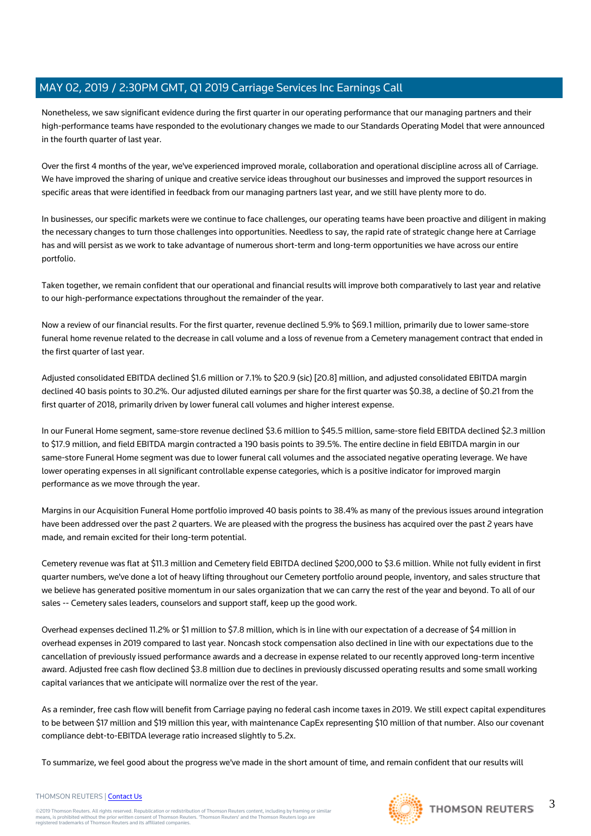Nonetheless, we saw significant evidence during the first quarter in our operating performance that our managing partners and their high-performance teams have responded to the evolutionary changes we made to our Standards Operating Model that were announced in the fourth quarter of last year.

Over the first 4 months of the year, we've experienced improved morale, collaboration and operational discipline across all of Carriage. We have improved the sharing of unique and creative service ideas throughout our businesses and improved the support resources in specific areas that were identified in feedback from our managing partners last year, and we still have plenty more to do.

In businesses, our specific markets were we continue to face challenges, our operating teams have been proactive and diligent in making the necessary changes to turn those challenges into opportunities. Needless to say, the rapid rate of strategic change here at Carriage has and will persist as we work to take advantage of numerous short-term and long-term opportunities we have across our entire portfolio.

Taken together, we remain confident that our operational and financial results will improve both comparatively to last year and relative to our high-performance expectations throughout the remainder of the year.

Now a review of our financial results. For the first quarter, revenue declined 5.9% to \$69.1 million, primarily due to lower same-store funeral home revenue related to the decrease in call volume and a loss of revenue from a Cemetery management contract that ended in the first quarter of last year.

Adjusted consolidated EBITDA declined \$1.6 million or 7.1% to \$20.9 (sic) [20.8] million, and adjusted consolidated EBITDA margin declined 40 basis points to 30.2%. Our adjusted diluted earnings per share for the first quarter was \$0.38, a decline of \$0.21 from the first quarter of 2018, primarily driven by lower funeral call volumes and higher interest expense.

In our Funeral Home segment, same-store revenue declined \$3.6 million to \$45.5 million, same-store field EBITDA declined \$2.3 million to \$17.9 million, and field EBITDA margin contracted a 190 basis points to 39.5%. The entire decline in field EBITDA margin in our same-store Funeral Home segment was due to lower funeral call volumes and the associated negative operating leverage. We have lower operating expenses in all significant controllable expense categories, which is a positive indicator for improved margin performance as we move through the year.

Margins in our Acquisition Funeral Home portfolio improved 40 basis points to 38.4% as many of the previous issues around integration have been addressed over the past 2 quarters. We are pleased with the progress the business has acquired over the past 2 years have made, and remain excited for their long-term potential.

Cemetery revenue was flat at \$11.3 million and Cemetery field EBITDA declined \$200,000 to \$3.6 million. While not fully evident in first quarter numbers, we've done a lot of heavy lifting throughout our Cemetery portfolio around people, inventory, and sales structure that we believe has generated positive momentum in our sales organization that we can carry the rest of the year and beyond. To all of our sales -- Cemetery sales leaders, counselors and support staff, keep up the good work.

Overhead expenses declined 11.2% or \$1 million to \$7.8 million, which is in line with our expectation of a decrease of \$4 million in overhead expenses in 2019 compared to last year. Noncash stock compensation also declined in line with our expectations due to the cancellation of previously issued performance awards and a decrease in expense related to our recently approved long-term incentive award. Adjusted free cash flow declined \$3.8 million due to declines in previously discussed operating results and some small working capital variances that we anticipate will normalize over the rest of the year.

As a reminder, free cash flow will benefit from Carriage paying no federal cash income taxes in 2019. We still expect capital expenditures to be between \$17 million and \$19 million this year, with maintenance CapEx representing \$10 million of that number. Also our covenant compliance debt-to-EBITDA leverage ratio increased slightly to 5.2x.

To summarize, we feel good about the progress we've made in the short amount of time, and remain confident that our results will



3

THOMSON REUTERS | [Contact Us](https://my.thomsonreuters.com/ContactUsNew)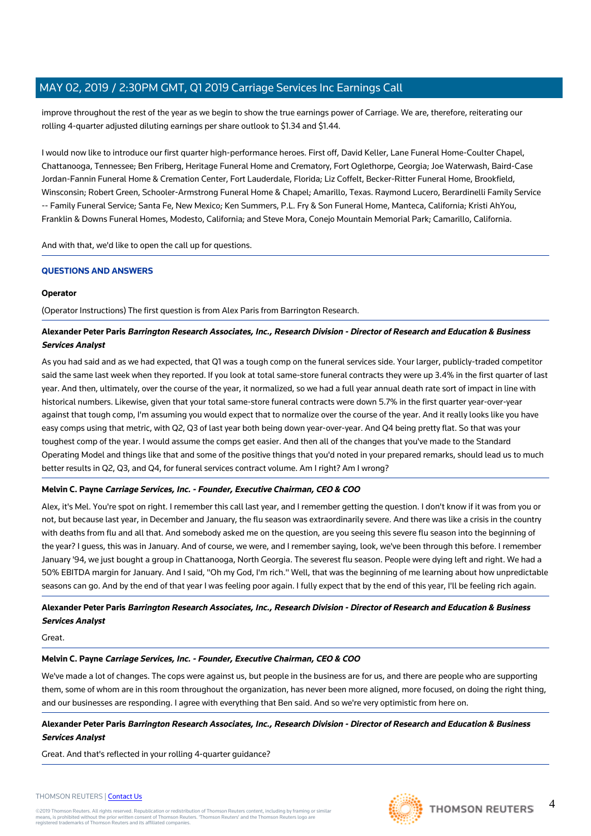improve throughout the rest of the year as we begin to show the true earnings power of Carriage. We are, therefore, reiterating our rolling 4-quarter adjusted diluting earnings per share outlook to \$1.34 and \$1.44.

I would now like to introduce our first quarter high-performance heroes. First off, David Keller, Lane Funeral Home-Coulter Chapel, Chattanooga, Tennessee; Ben Friberg, Heritage Funeral Home and Crematory, Fort Oglethorpe, Georgia; Joe Waterwash, Baird-Case Jordan-Fannin Funeral Home & Cremation Center, Fort Lauderdale, Florida; Liz Coffelt, Becker-Ritter Funeral Home, Brookfield, Winsconsin; Robert Green, Schooler-Armstrong Funeral Home & Chapel; Amarillo, Texas. Raymond Lucero, Berardinelli Family Service -- Family Funeral Service; Santa Fe, New Mexico; Ken Summers, P.L. Fry & Son Funeral Home, Manteca, California; Kristi AhYou, Franklin & Downs Funeral Homes, Modesto, California; and Steve Mora, Conejo Mountain Memorial Park; Camarillo, California.

And with that, we'd like to open the call up for questions.

# **QUESTIONS AND ANSWERS**

# **Operator**

(Operator Instructions) The first question is from Alex Paris from Barrington Research.

# **Alexander Peter Paris Barrington Research Associates, Inc., Research Division - Director of Research and Education & Business Services Analyst**

As you had said and as we had expected, that Q1 was a tough comp on the funeral services side. Your larger, publicly-traded competitor said the same last week when they reported. If you look at total same-store funeral contracts they were up 3.4% in the first quarter of last year. And then, ultimately, over the course of the year, it normalized, so we had a full year annual death rate sort of impact in line with historical numbers. Likewise, given that your total same-store funeral contracts were down 5.7% in the first quarter year-over-year against that tough comp, I'm assuming you would expect that to normalize over the course of the year. And it really looks like you have easy comps using that metric, with Q2, Q3 of last year both being down year-over-year. And Q4 being pretty flat. So that was your toughest comp of the year. I would assume the comps get easier. And then all of the changes that you've made to the Standard Operating Model and things like that and some of the positive things that you'd noted in your prepared remarks, should lead us to much better results in Q2, Q3, and Q4, for funeral services contract volume. Am I right? Am I wrong?

# **Melvin C. Payne Carriage Services, Inc. - Founder, Executive Chairman, CEO & COO**

Alex, it's Mel. You're spot on right. I remember this call last year, and I remember getting the question. I don't know if it was from you or not, but because last year, in December and January, the flu season was extraordinarily severe. And there was like a crisis in the country with deaths from flu and all that. And somebody asked me on the question, are you seeing this severe flu season into the beginning of the year? I guess, this was in January. And of course, we were, and I remember saying, look, we've been through this before. I remember January '94, we just bought a group in Chattanooga, North Georgia. The severest flu season. People were dying left and right. We had a 50% EBITDA margin for January. And I said, "Oh my God, I'm rich." Well, that was the beginning of me learning about how unpredictable seasons can go. And by the end of that year I was feeling poor again. I fully expect that by the end of this year, I'll be feeling rich again.

# **Alexander Peter Paris Barrington Research Associates, Inc., Research Division - Director of Research and Education & Business Services Analyst**

Great.

# **Melvin C. Payne Carriage Services, Inc. - Founder, Executive Chairman, CEO & COO**

We've made a lot of changes. The cops were against us, but people in the business are for us, and there are people who are supporting them, some of whom are in this room throughout the organization, has never been more aligned, more focused, on doing the right thing, and our businesses are responding. I agree with everything that Ben said. And so we're very optimistic from here on.

# **Alexander Peter Paris Barrington Research Associates, Inc., Research Division - Director of Research and Education & Business Services Analyst**

Great. And that's reflected in your rolling 4-quarter guidance?

#### THOMSON REUTERS | [Contact Us](https://my.thomsonreuters.com/ContactUsNew)

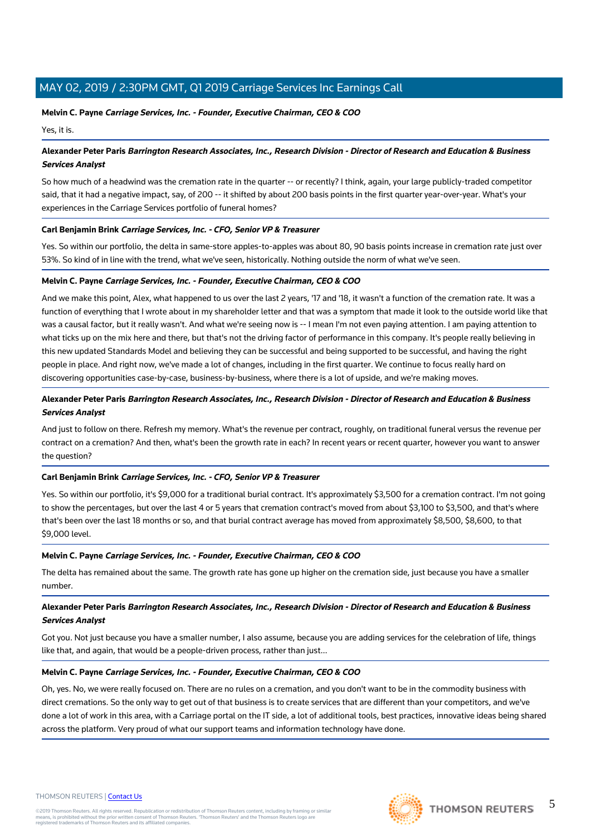# **Melvin C. Payne Carriage Services, Inc. - Founder, Executive Chairman, CEO & COO**

Yes, it is.

# **Alexander Peter Paris Barrington Research Associates, Inc., Research Division - Director of Research and Education & Business Services Analyst**

So how much of a headwind was the cremation rate in the quarter -- or recently? I think, again, your large publicly-traded competitor said, that it had a negative impact, say, of 200 -- it shifted by about 200 basis points in the first quarter year-over-year. What's your experiences in the Carriage Services portfolio of funeral homes?

# **Carl Benjamin Brink Carriage Services, Inc. - CFO, Senior VP & Treasurer**

Yes. So within our portfolio, the delta in same-store apples-to-apples was about 80, 90 basis points increase in cremation rate just over 53%. So kind of in line with the trend, what we've seen, historically. Nothing outside the norm of what we've seen.

#### **Melvin C. Payne Carriage Services, Inc. - Founder, Executive Chairman, CEO & COO**

And we make this point, Alex, what happened to us over the last 2 years, '17 and '18, it wasn't a function of the cremation rate. It was a function of everything that I wrote about in my shareholder letter and that was a symptom that made it look to the outside world like that was a causal factor, but it really wasn't. And what we're seeing now is -- I mean I'm not even paying attention. I am paying attention to what ticks up on the mix here and there, but that's not the driving factor of performance in this company. It's people really believing in this new updated Standards Model and believing they can be successful and being supported to be successful, and having the right people in place. And right now, we've made a lot of changes, including in the first quarter. We continue to focus really hard on discovering opportunities case-by-case, business-by-business, where there is a lot of upside, and we're making moves.

# **Alexander Peter Paris Barrington Research Associates, Inc., Research Division - Director of Research and Education & Business Services Analyst**

And just to follow on there. Refresh my memory. What's the revenue per contract, roughly, on traditional funeral versus the revenue per contract on a cremation? And then, what's been the growth rate in each? In recent years or recent quarter, however you want to answer the question?

# **Carl Benjamin Brink Carriage Services, Inc. - CFO, Senior VP & Treasurer**

Yes. So within our portfolio, it's \$9,000 for a traditional burial contract. It's approximately \$3,500 for a cremation contract. I'm not going to show the percentages, but over the last 4 or 5 years that cremation contract's moved from about \$3,100 to \$3,500, and that's where that's been over the last 18 months or so, and that burial contract average has moved from approximately \$8,500, \$8,600, to that \$9,000 level.

# **Melvin C. Payne Carriage Services, Inc. - Founder, Executive Chairman, CEO & COO**

The delta has remained about the same. The growth rate has gone up higher on the cremation side, just because you have a smaller number.

# **Alexander Peter Paris Barrington Research Associates, Inc., Research Division - Director of Research and Education & Business Services Analyst**

Got you. Not just because you have a smaller number, I also assume, because you are adding services for the celebration of life, things like that, and again, that would be a people-driven process, rather than just...

# **Melvin C. Payne Carriage Services, Inc. - Founder, Executive Chairman, CEO & COO**

Oh, yes. No, we were really focused on. There are no rules on a cremation, and you don't want to be in the commodity business with direct cremations. So the only way to get out of that business is to create services that are different than your competitors, and we've done a lot of work in this area, with a Carriage portal on the IT side, a lot of additional tools, best practices, innovative ideas being shared across the platform. Very proud of what our support teams and information technology have done.

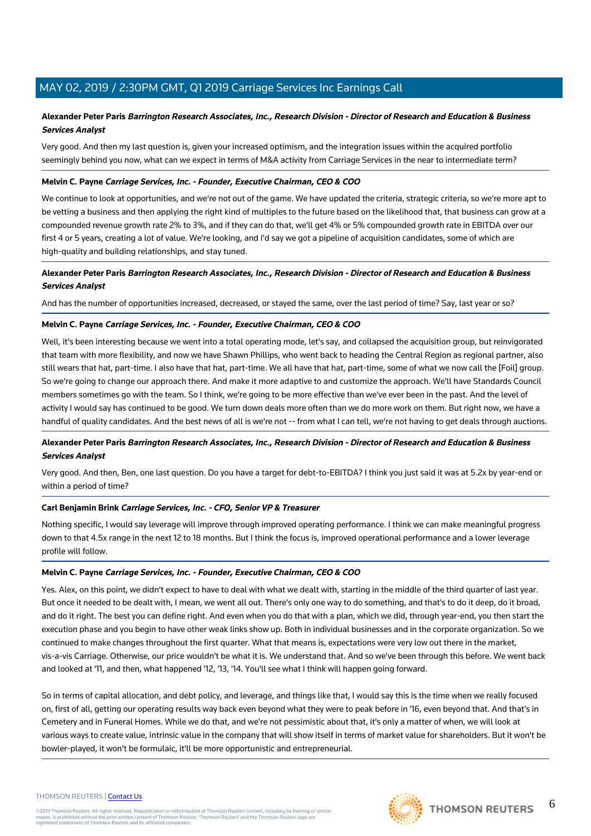# **Alexander Peter Paris Barrington Research Associates, Inc., Research Division - Director of Research and Education & Business Services Analyst**

Very good. And then my last question is, given your increased optimism, and the integration issues within the acquired portfolio seemingly behind you now, what can we expect in terms of M&A activity from Carriage Services in the near to intermediate term?

## **Melvin C. Payne Carriage Services, Inc. - Founder, Executive Chairman, CEO & COO**

We continue to look at opportunities, and we're not out of the game. We have updated the criteria, strategic criteria, so we're more apt to be vetting a business and then applying the right kind of multiples to the future based on the likelihood that, that business can grow at a compounded revenue growth rate 2% to 3%, and if they can do that, we'll get 4% or 5% compounded growth rate in EBITDA over our first 4 or 5 years, creating a lot of value. We're looking, and I'd say we got a pipeline of acquisition candidates, some of which are high-quality and building relationships, and stay tuned.

# **Alexander Peter Paris Barrington Research Associates, Inc., Research Division - Director of Research and Education & Business Services Analyst**

And has the number of opportunities increased, decreased, or stayed the same, over the last period of time? Say, last year or so?

#### **Melvin C. Payne Carriage Services, Inc. - Founder, Executive Chairman, CEO & COO**

Well, it's been interesting because we went into a total operating mode, let's say, and collapsed the acquisition group, but reinvigorated that team with more flexibility, and now we have Shawn Phillips, who went back to heading the Central Region as regional partner, also still wears that hat, part-time. I also have that hat, part-time. We all have that hat, part-time, some of what we now call the [Foil] group. So we're going to change our approach there. And make it more adaptive to and customize the approach. We'll have Standards Council members sometimes go with the team. So I think, we're going to be more effective than we've ever been in the past. And the level of activity I would say has continued to be good. We turn down deals more often than we do more work on them. But right now, we have a handful of quality candidates. And the best news of all is we're not -- from what I can tell, we're not having to get deals through auctions.

# **Alexander Peter Paris Barrington Research Associates, Inc., Research Division - Director of Research and Education & Business Services Analyst**

Very good. And then, Ben, one last question. Do you have a target for debt-to-EBITDA? I think you just said it was at 5.2x by year-end or within a period of time?

#### **Carl Benjamin Brink Carriage Services, Inc. - CFO, Senior VP & Treasurer**

Nothing specific, I would say leverage will improve through improved operating performance. I think we can make meaningful progress down to that 4.5x range in the next 12 to 18 months. But I think the focus is, improved operational performance and a lower leverage profile will follow.

# **Melvin C. Payne Carriage Services, Inc. - Founder, Executive Chairman, CEO & COO**

Yes. Alex, on this point, we didn't expect to have to deal with what we dealt with, starting in the middle of the third quarter of last year. But once it needed to be dealt with, I mean, we went all out. There's only one way to do something, and that's to do it deep, do it broad, and do it right. The best you can define right. And even when you do that with a plan, which we did, through year-end, you then start the execution phase and you begin to have other weak links show up. Both in individual businesses and in the corporate organization. So we continued to make changes throughout the first quarter. What that means is, expectations were very low out there in the market, vis-a-vis Carriage. Otherwise, our price wouldn't be what it is. We understand that. And so we've been through this before. We went back and looked at '11, and then, what happened '12, '13, '14. You'll see what I think will happen going forward.

So in terms of capital allocation, and debt policy, and leverage, and things like that, I would say this is the time when we really focused on, first of all, getting our operating results way back even beyond what they were to peak before in '16, even beyond that. And that's in Cemetery and in Funeral Homes. While we do that, and we're not pessimistic about that, it's only a matter of when, we will look at various ways to create value, intrinsic value in the company that will show itself in terms of market value for shareholders. But it won't be bowler-played, it won't be formulaic, it'll be more opportunistic and entrepreneurial.

## THOMSON REUTERS | [Contact Us](https://my.thomsonreuters.com/ContactUsNew)

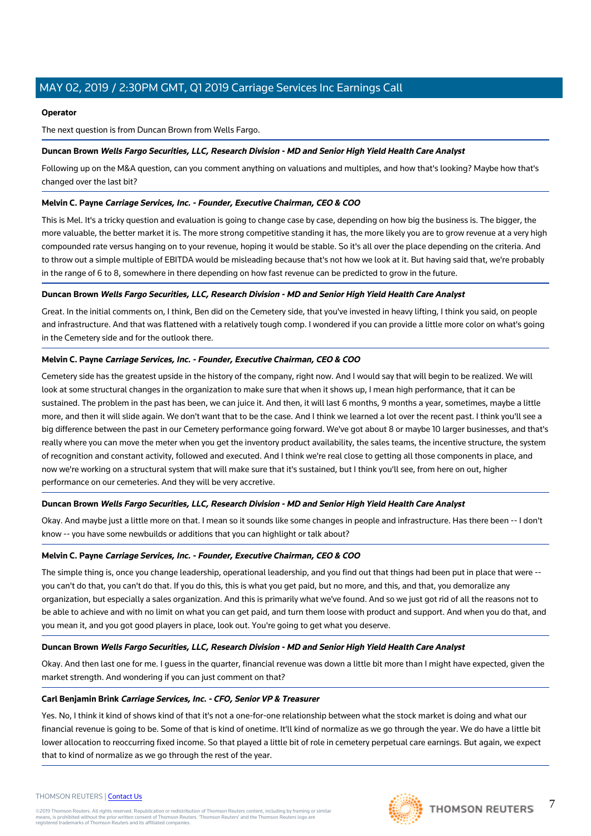# **Operator**

The next question is from Duncan Brown from Wells Fargo.

# **Duncan Brown Wells Fargo Securities, LLC, Research Division - MD and Senior High Yield Health Care Analyst**

Following up on the M&A question, can you comment anything on valuations and multiples, and how that's looking? Maybe how that's changed over the last bit?

# **Melvin C. Payne Carriage Services, Inc. - Founder, Executive Chairman, CEO & COO**

This is Mel. It's a tricky question and evaluation is going to change case by case, depending on how big the business is. The bigger, the more valuable, the better market it is. The more strong competitive standing it has, the more likely you are to grow revenue at a very high compounded rate versus hanging on to your revenue, hoping it would be stable. So it's all over the place depending on the criteria. And to throw out a simple multiple of EBITDA would be misleading because that's not how we look at it. But having said that, we're probably in the range of 6 to 8, somewhere in there depending on how fast revenue can be predicted to grow in the future.

# **Duncan Brown Wells Fargo Securities, LLC, Research Division - MD and Senior High Yield Health Care Analyst**

Great. In the initial comments on, I think, Ben did on the Cemetery side, that you've invested in heavy lifting, I think you said, on people and infrastructure. And that was flattened with a relatively tough comp. I wondered if you can provide a little more color on what's going in the Cemetery side and for the outlook there.

# **Melvin C. Payne Carriage Services, Inc. - Founder, Executive Chairman, CEO & COO**

Cemetery side has the greatest upside in the history of the company, right now. And I would say that will begin to be realized. We will look at some structural changes in the organization to make sure that when it shows up, I mean high performance, that it can be sustained. The problem in the past has been, we can juice it. And then, it will last 6 months, 9 months a year, sometimes, maybe a little more, and then it will slide again. We don't want that to be the case. And I think we learned a lot over the recent past. I think you'll see a big difference between the past in our Cemetery performance going forward. We've got about 8 or maybe 10 larger businesses, and that's really where you can move the meter when you get the inventory product availability, the sales teams, the incentive structure, the system of recognition and constant activity, followed and executed. And I think we're real close to getting all those components in place, and now we're working on a structural system that will make sure that it's sustained, but I think you'll see, from here on out, higher performance on our cemeteries. And they will be very accretive.

# **Duncan Brown Wells Fargo Securities, LLC, Research Division - MD and Senior High Yield Health Care Analyst**

Okay. And maybe just a little more on that. I mean so it sounds like some changes in people and infrastructure. Has there been -- I don't know -- you have some newbuilds or additions that you can highlight or talk about?

# **Melvin C. Payne Carriage Services, Inc. - Founder, Executive Chairman, CEO & COO**

The simple thing is, once you change leadership, operational leadership, and you find out that things had been put in place that were - you can't do that, you can't do that. If you do this, this is what you get paid, but no more, and this, and that, you demoralize any organization, but especially a sales organization. And this is primarily what we've found. And so we just got rid of all the reasons not to be able to achieve and with no limit on what you can get paid, and turn them loose with product and support. And when you do that, and you mean it, and you got good players in place, look out. You're going to get what you deserve.

# **Duncan Brown Wells Fargo Securities, LLC, Research Division - MD and Senior High Yield Health Care Analyst**

Okay. And then last one for me. I guess in the quarter, financial revenue was down a little bit more than I might have expected, given the market strength. And wondering if you can just comment on that?

# **Carl Benjamin Brink Carriage Services, Inc. - CFO, Senior VP & Treasurer**

Yes. No, I think it kind of shows kind of that it's not a one-for-one relationship between what the stock market is doing and what our financial revenue is going to be. Some of that is kind of onetime. It'll kind of normalize as we go through the year. We do have a little bit lower allocation to reoccurring fixed income. So that played a little bit of role in cemetery perpetual care earnings. But again, we expect that to kind of normalize as we go through the rest of the year.





#### THOMSON REUTERS | [Contact Us](https://my.thomsonreuters.com/ContactUsNew)

©2019 Thomson Reuters. All rights reserved. Republication or redistribution of Thomson Reuters content, including by framing or similar<br>means, is prohibited without the prior written consent of Thomson Reuters. "Thomson Re

7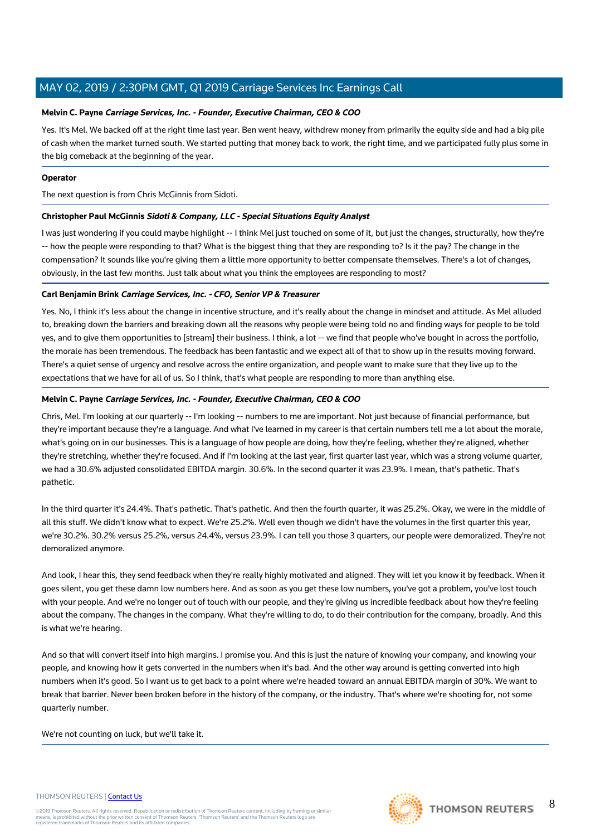# **Melvin C. Payne Carriage Services, Inc. - Founder, Executive Chairman, CEO & COO**

Yes. It's Mel. We backed off at the right time last year. Ben went heavy, withdrew money from primarily the equity side and had a big pile of cash when the market turned south. We started putting that money back to work, the right time, and we participated fully plus some in the big comeback at the beginning of the year.

# **Operator**

The next question is from Chris McGinnis from Sidoti.

# **Christopher Paul McGinnis Sidoti & Company, LLC - Special Situations Equity Analyst**

I was just wondering if you could maybe highlight -- I think Mel just touched on some of it, but just the changes, structurally, how they're -- how the people were responding to that? What is the biggest thing that they are responding to? Is it the pay? The change in the compensation? It sounds like you're giving them a little more opportunity to better compensate themselves. There's a lot of changes, obviously, in the last few months. Just talk about what you think the employees are responding to most?

# **Carl Benjamin Brink Carriage Services, Inc. - CFO, Senior VP & Treasurer**

Yes. No, I think it's less about the change in incentive structure, and it's really about the change in mindset and attitude. As Mel alluded to, breaking down the barriers and breaking down all the reasons why people were being told no and finding ways for people to be told yes, and to give them opportunities to [stream] their business. I think, a lot -- we find that people who've bought in across the portfolio, the morale has been tremendous. The feedback has been fantastic and we expect all of that to show up in the results moving forward. There's a quiet sense of urgency and resolve across the entire organization, and people want to make sure that they live up to the expectations that we have for all of us. So I think, that's what people are responding to more than anything else.

# **Melvin C. Payne Carriage Services, Inc. - Founder, Executive Chairman, CEO & COO**

Chris, Mel. I'm looking at our quarterly -- I'm looking -- numbers to me are important. Not just because of financial performance, but they're important because they're a language. And what I've learned in my career is that certain numbers tell me a lot about the morale, what's going on in our businesses. This is a language of how people are doing, how they're feeling, whether they're aligned, whether they're stretching, whether they're focused. And if I'm looking at the last year, first quarter last year, which was a strong volume quarter, we had a 30.6% adjusted consolidated EBITDA margin. 30.6%. In the second quarter it was 23.9%. I mean, that's pathetic. That's pathetic.

In the third quarter it's 24.4%. That's pathetic. That's pathetic. And then the fourth quarter, it was 25.2%. Okay, we were in the middle of all this stuff. We didn't know what to expect. We're 25.2%. Well even though we didn't have the volumes in the first quarter this year, we're 30.2%. 30.2% versus 25.2%, versus 24.4%, versus 23.9%. I can tell you those 3 quarters, our people were demoralized. They're not demoralized anymore.

And look, I hear this, they send feedback when they're really highly motivated and aligned. They will let you know it by feedback. When it goes silent, you get these damn low numbers here. And as soon as you get these low numbers, you've got a problem, you've lost touch with your people. And we're no longer out of touch with our people, and they're giving us incredible feedback about how they're feeling about the company. The changes in the company. What they're willing to do, to do their contribution for the company, broadly. And this is what we're hearing.

And so that will convert itself into high margins. I promise you. And this is just the nature of knowing your company, and knowing your people, and knowing how it gets converted in the numbers when it's bad. And the other way around is getting converted into high numbers when it's good. So I want us to get back to a point where we're headed toward an annual EBITDA margin of 30%. We want to break that barrier. Never been broken before in the history of the company, or the industry. That's where we're shooting for, not some quarterly number.

We're not counting on luck, but we'll take it.

#### THOMSON REUTERS | [Contact Us](https://my.thomsonreuters.com/ContactUsNew)